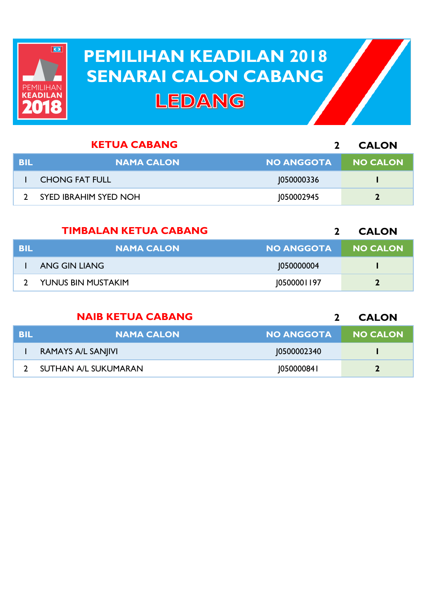

## **PEMILIHAN KEADILAN 2018 PEMILIHAN KEADILAN 2018 SENARAI CALON CABANG SENARAI CALON CABANGLEDANG**

|     | <b>KETUA CABANG</b>          |                   | <b>CALON</b>    |
|-----|------------------------------|-------------------|-----------------|
| BIL | <b>NAMA CALON</b>            | <b>NO ANGGOTA</b> | <b>NO CALON</b> |
|     | <b>CHONG FAT FULL</b>        | 1050000336        |                 |
|     | <b>SYED IBRAHIM SYED NOH</b> | 1050002945        |                 |

|      | <b>TIMBALAN KETUA CABANG</b> |                   | <b>CALON</b>    |
|------|------------------------------|-------------------|-----------------|
| -BIL | <b>NAMA CALON</b>            | <b>NO ANGGOTA</b> | <b>NO CALON</b> |
|      | ANG GIN LIANG                | 1050000004        |                 |
|      | YUNUS BIN MUSTAKIM           | 10500001197       | $\mathbf{2}$    |

|            | <b>NAIB KETUA CABANG</b> |                   | <b>CALON</b>    |
|------------|--------------------------|-------------------|-----------------|
| <b>BIL</b> | <b>NAMA CALON</b>        | <b>NO ANGGOTA</b> | <b>NO CALON</b> |
|            | RAMAYS A/L SANJIVI       | 10500002340       |                 |
|            | SUTHAN A/L SUKUMARAN     | [050000841]       |                 |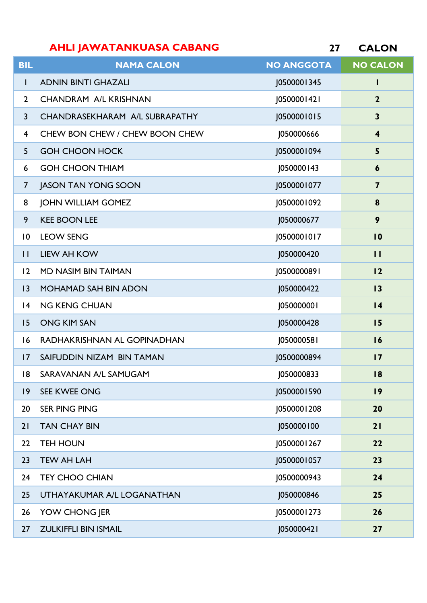|                         | <b>AHLI JAWATANKUASA CABANG</b> | 27                | <b>CALON</b>            |
|-------------------------|---------------------------------|-------------------|-------------------------|
| <b>BIL</b>              | <b>NAMA CALON</b>               | <b>NO ANGGOTA</b> | <b>NO CALON</b>         |
| T                       | <b>ADNIN BINTI GHAZALI</b>      | J0500001345       | L                       |
| $\overline{2}$          | <b>CHANDRAM A/L KRISHNAN</b>    | J0500001421       | $\mathbf{2}$            |
| $\overline{3}$          | CHANDRASEKHARAM A/L SUBRAPATHY  | J0500001015       | $\mathbf{3}$            |
| $\overline{\mathbf{4}}$ | CHEW BON CHEW / CHEW BOON CHEW  | 1050000666        | 4                       |
| 5                       | <b>GOH CHOON HOCK</b>           | 0500001094        | 5                       |
| 6                       | <b>GOH CHOON THIAM</b>          | J050000143        | 6                       |
| $\overline{7}$          | <b>JASON TAN YONG SOON</b>      | J0500001077       | $\overline{\mathbf{z}}$ |
| 8                       | <b>JOHN WILLIAM GOMEZ</b>       | J0500001092       | 8                       |
| 9                       | <b>KEE BOON LEE</b>             | J050000677        | 9                       |
| $\overline{0}$          | <b>LEOW SENG</b>                | J0500001017       | $\overline{10}$         |
| $\mathbf{H}$            | <b>LIEW AH KOW</b>              | J050000420        | $\mathbf{H}$            |
| 12                      | MD NASIM BIN TAIMAN             | 10500000891       | 12                      |
| 3                       | MOHAMAD SAH BIN ADON            | J050000422        | 13                      |
| 4                       | <b>NG KENG CHUAN</b>            | 1050000001        | 4                       |
| 15                      | <b>ONG KIM SAN</b>              | J050000428        | 15                      |
| 16                      | RADHAKRISHNAN AL GOPINADHAN     | J050000581        | 16                      |
| 17                      | SAIFUDDIN NIZAM BIN TAMAN       | J0500000894       | $\overline{17}$         |
| 8                       | SARAVANAN A/L SAMUGAM           | J050000833        | 18                      |
| $ 9\rangle$             | SEE KWEE ONG                    | 10500001590       | 9                       |
| 20                      | <b>SER PING PING</b>            | 0500001208        | 20                      |

TAN CHAY BIN J050000100 **21**

TEH HOUN J0500001267 **22**

TEW AH LAH J0500001057 **23**

TEY CHOO CHIAN J0500000943 **24**

UTHAYAKUMAR A/L LOGANATHAN J050000846 **25**

YOW CHONG JER J0500001273 **26**

ZULKIFFLI BIN ISMAIL J050000421 **27**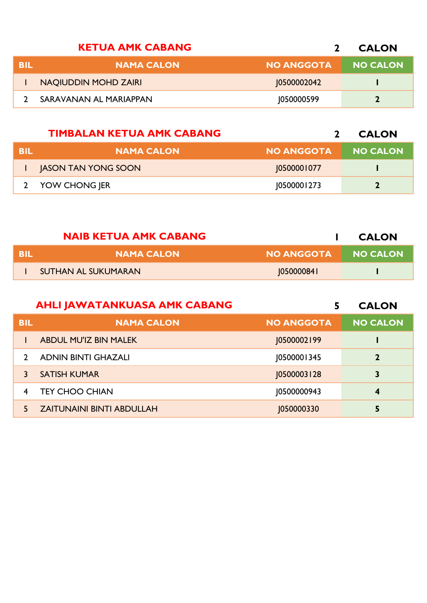|     | <b>KETUA AMK CABANG</b> |                   | <b>CALON</b>    |
|-----|-------------------------|-------------------|-----------------|
| BIL | <b>NAMA CALON</b>       | <b>NO ANGGOTA</b> | <b>NO CALON</b> |
|     | NAQIUDDIN MOHD ZAIRI    | 10500002042       |                 |
|     | SARAVANAN AL MARIAPPAN  | 1050000599        |                 |
|     |                         |                   |                 |

|            | <b>TIMBALAN KETUA AMK CABANG</b> |                   | <b>CALON</b>    |
|------------|----------------------------------|-------------------|-----------------|
| <b>BIL</b> | <b>NAMA CALON</b>                | <b>NO ANGGOTA</b> | <b>NO CALON</b> |
|            | <b>JASON TAN YONG SOON</b>       | 10500001077       |                 |
|            | YOW CHONG JER                    | 10500001273       |                 |

|     | <b>NAIB KETUA AMK CABANG</b> |                   | <b>CALON</b>    |
|-----|------------------------------|-------------------|-----------------|
| BIL | <b>NAMA CALON</b>            | NO ANGGOTA        | <b>NO CALON</b> |
|     | SUTHAN AL SUKUMARAN          | <b>1050000841</b> |                 |

|             | <b>AHLI JAWATANKUASA AMK CABANG</b> |                   | <b>CALON</b>    |
|-------------|-------------------------------------|-------------------|-----------------|
| <b>BIL</b>  | <b>NAMA CALON</b>                   | <b>NO ANGGOTA</b> | <b>NO CALON</b> |
|             | <b>ABDUL MU'IZ BIN MALEK</b>        | 10500002199       |                 |
|             | <b>ADNIN BINTI GHAZALI</b>          | J0500001345       | $\mathbf{2}$    |
|             | <b>SATISH KUMAR</b>                 | 10500003128       | 3               |
| 4           | <b>TEY CHOO CHIAN</b>               | 10500000943       | 4               |
| $5^{\circ}$ | <b>ZAITUNAINI BINTI ABDULLAH</b>    | 1050000330        |                 |